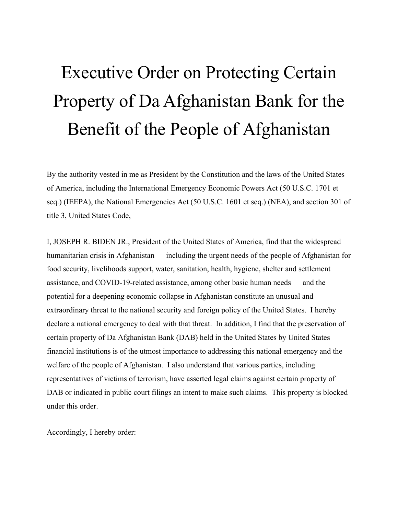## Executive Order on Protecting Certain Property of Da Afghanistan Bank for the Benefit of the People of Afghanistan

By the authority vested in me as President by the Constitution and the laws of the United States of America, including the International Emergency Economic Powers Act (50 U.S.C. 1701 et seq.) (IEEPA), the National Emergencies Act (50 U.S.C. 1601 et seq.) (NEA), and section 301 of title 3, United States Code,

I, JOSEPH R. BIDEN JR., President of the United States of America, find that the widespread humanitarian crisis in Afghanistan — including the urgent needs of the people of Afghanistan for food security, livelihoods support, water, sanitation, health, hygiene, shelter and settlement assistance, and COVID-19-related assistance, among other basic human needs — and the potential for a deepening economic collapse in Afghanistan constitute an unusual and extraordinary threat to the national security and foreign policy of the United States. I hereby declare a national emergency to deal with that threat. In addition, I find that the preservation of certain property of Da Afghanistan Bank (DAB) held in the United States by United States financial institutions is of the utmost importance to addressing this national emergency and the welfare of the people of Afghanistan. I also understand that various parties, including representatives of victims of terrorism, have asserted legal claims against certain property of DAB or indicated in public court filings an intent to make such claims. This property is blocked under this order.

Accordingly, I hereby order: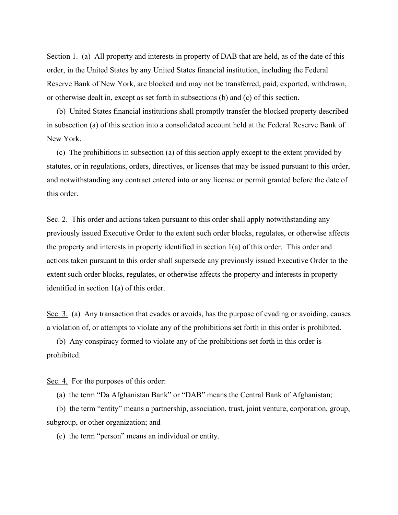Section 1. (a) All property and interests in property of DAB that are held, as of the date of this order, in the United States by any United States financial institution, including the Federal Reserve Bank of New York, are blocked and may not be transferred, paid, exported, withdrawn, or otherwise dealt in, except as set forth in subsections (b) and (c) of this section.

(b) United States financial institutions shall promptly transfer the blocked property described in subsection (a) of this section into a consolidated account held at the Federal Reserve Bank of New York.

(c) The prohibitions in subsection (a) of this section apply except to the extent provided by statutes, or in regulations, orders, directives, or licenses that may be issued pursuant to this order, and notwithstanding any contract entered into or any license or permit granted before the date of this order.

Sec. 2. This order and actions taken pursuant to this order shall apply notwithstanding any previously issued Executive Order to the extent such order blocks, regulates, or otherwise affects the property and interests in property identified in section 1(a) of this order. This order and actions taken pursuant to this order shall supersede any previously issued Executive Order to the extent such order blocks, regulates, or otherwise affects the property and interests in property identified in section 1(a) of this order.

Sec. 3. (a) Any transaction that evades or avoids, has the purpose of evading or avoiding, causes a violation of, or attempts to violate any of the prohibitions set forth in this order is prohibited.

(b) Any conspiracy formed to violate any of the prohibitions set forth in this order is prohibited.

Sec. 4. For the purposes of this order:

(a) the term "Da Afghanistan Bank" or "DAB" means the Central Bank of Afghanistan;

(b) the term "entity" means a partnership, association, trust, joint venture, corporation, group, subgroup, or other organization; and

(c) the term "person" means an individual or entity.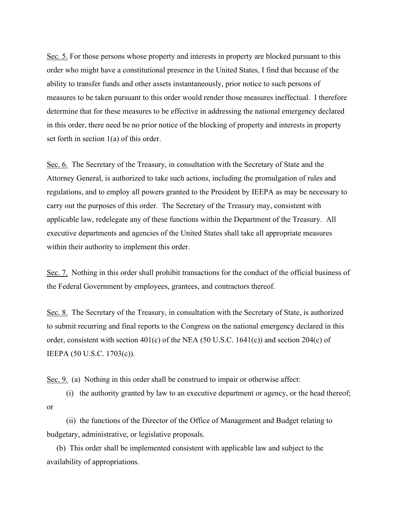Sec. 5. For those persons whose property and interests in property are blocked pursuant to this order who might have a constitutional presence in the United States, I find that because of the ability to transfer funds and other assets instantaneously, prior notice to such persons of measures to be taken pursuant to this order would render those measures ineffectual. I therefore determine that for these measures to be effective in addressing the national emergency declared in this order, there need be no prior notice of the blocking of property and interests in property set forth in section 1(a) of this order.

Sec. 6. The Secretary of the Treasury, in consultation with the Secretary of State and the Attorney General, is authorized to take such actions, including the promulgation of rules and regulations, and to employ all powers granted to the President by IEEPA as may be necessary to carry out the purposes of this order. The Secretary of the Treasury may, consistent with applicable law, redelegate any of these functions within the Department of the Treasury. All executive departments and agencies of the United States shall take all appropriate measures within their authority to implement this order.

Sec. 7. Nothing in this order shall prohibit transactions for the conduct of the official business of the Federal Government by employees, grantees, and contractors thereof.

Sec. 8. The Secretary of the Treasury, in consultation with the Secretary of State, is authorized to submit recurring and final reports to the Congress on the national emergency declared in this order, consistent with section 401(c) of the NEA (50 U.S.C. 1641(c)) and section 204(c) of IEEPA (50 U.S.C. 1703(c)).

Sec. 9. (a) Nothing in this order shall be construed to impair or otherwise affect:

 (i) the authority granted by law to an executive department or agency, or the head thereof; or

 (ii) the functions of the Director of the Office of Management and Budget relating to budgetary, administrative, or legislative proposals.

(b) This order shall be implemented consistent with applicable law and subject to the availability of appropriations.